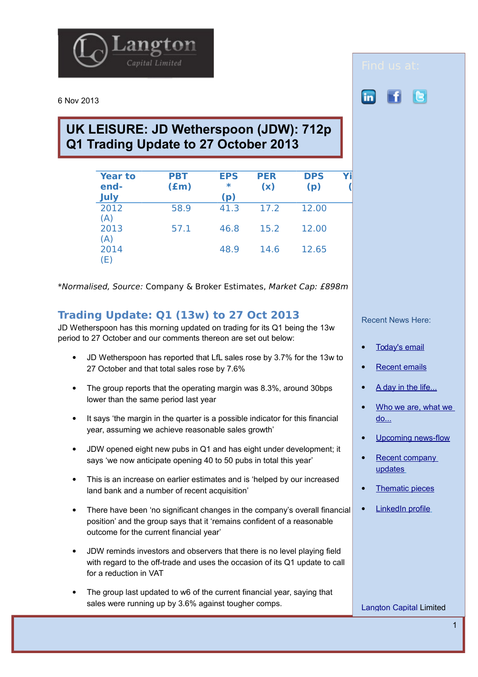

6 Nov 2013

## **UK LEISURE: JD Wetherspoon (JDW): 712p Q1 Trading Update to 27 October 2013**

| <b>Year to</b><br>end-<br>July | <b>PBT</b><br>$(\text{fm})$ | <b>EPS</b><br>$\ast$<br>(p) | <b>PER</b><br>(x) | <b>DPS</b><br>(p) |  |
|--------------------------------|-----------------------------|-----------------------------|-------------------|-------------------|--|
| 2012<br>(A)                    | 58.9                        | 41.3                        | 17.2              | 12.00             |  |
| 2013<br>(A)                    | 57.1                        | 46.8                        | 15.2              | 12.00             |  |
| 2014<br>(E)                    |                             | 48.9                        | 14.6              | 12.65             |  |

\*Normalised, Source: Company & Broker Estimates, Market Cap: £898m

## **Trading Update: Q1 (13w) to 27 Oct 2013**

JD Wetherspoon has this morning updated on trading for its Q1 being the 13w period to 27 October and our comments thereon are set out below:

- JD Wetherspoon has reported that LfL sales rose by 3.7% for the 13w to 27 October and that total sales rose by 7.6%
- The group reports that the operating margin was 8.3%, around 30bps lower than the same period last year
- It says 'the margin in the quarter is a possible indicator for this financial year, assuming we achieve reasonable sales growth'
- JDW opened eight new pubs in Q1 and has eight under development; it says 'we now anticipate opening 40 to 50 pubs in total this year'
- This is an increase on earlier estimates and is 'helped by our increased land bank and a number of recent acquisition'
- There have been 'no significant changes in the company's overall financial position' and the group says that it 'remains confident of a reasonable outcome for the current financial year'
- JDW reminds investors and observers that there is no level playing field with regard to the off-trade and uses the occasion of its Q1 update to call for a reduction in VAT
- The group last updated to w6 of the current financial year, saying that sales were running up by 3.6% against tougher comps.

in.

Recent News Here:

- [Today's email](http://www.langtoncapital.co.uk/)
- [Recent emails](http://www.langtoncapital.co.uk/upcoming-results-events/recent-leisure-updates)
- [A day in the life...](http://www.langtoncapital.co.uk/a-day-in-the-life)
- [Who we are, what we](http://www.langtoncapital.co.uk/who-we-are-what-we-do)  [do...](http://www.langtoncapital.co.uk/who-we-are-what-we-do)
- [Upcoming news-flow](http://www.langtoncapital.co.uk/upcoming-results-events)
- [Recent company](http://www.langtoncapital.co.uk/upcoming-results-events/company-updates)  [updates](http://www.langtoncapital.co.uk/upcoming-results-events/company-updates)
- [Thematic pieces](http://www.langtoncapital.co.uk/upcoming-results-events/home-2)
- [LinkedIn profile](http://www.linkedin.com/profile/view?id=85312462&authType=name&authToken=qoBn&locale=en_US&pvs=pp&trk=ppro_viewmore)

[Langton Capital](http://www.langtoncapital.co.uk/) Limited